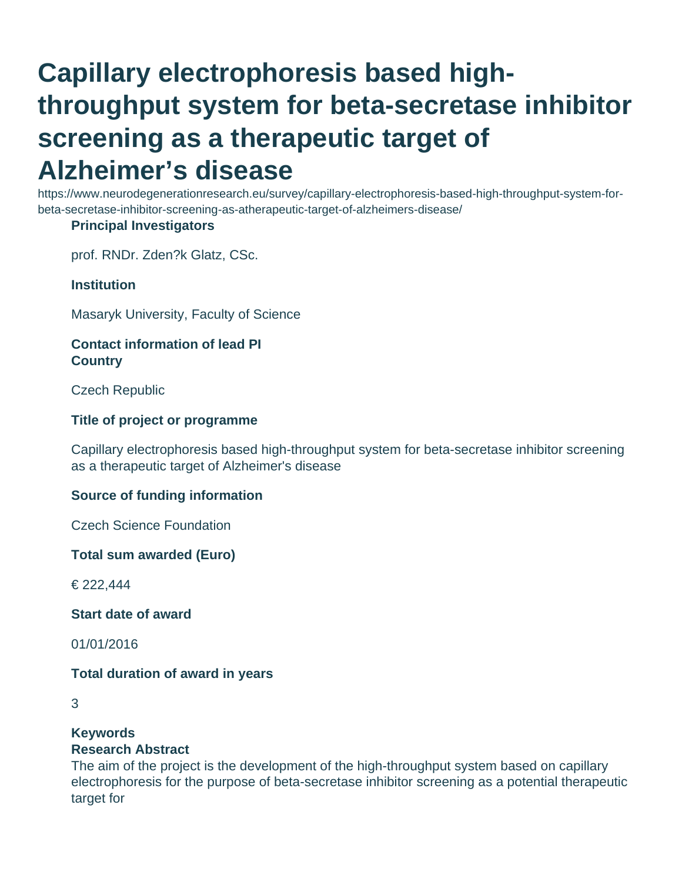# **Capillary electrophoresis based highthroughput system for beta-secretase inhibitor screening as a therapeutic target of Alzheimer's disease**

https://www.neurodegenerationresearch.eu/survey/capillary-electrophoresis-based-high-throughput-system-forbeta-secretase-inhibitor-screening-as-atherapeutic-target-of-alzheimers-disease/

## **Principal Investigators**

prof. RNDr. Zden?k Glatz, CSc.

## **Institution**

Masaryk University, Faculty of Science

## **Contact information of lead PI Country**

Czech Republic

## **Title of project or programme**

Capillary electrophoresis based high-throughput system for beta-secretase inhibitor screening as a therapeutic target of Alzheimer's disease

## **Source of funding information**

Czech Science Foundation

**Total sum awarded (Euro)**

€ 222,444

**Start date of award**

01/01/2016

## **Total duration of award in years**

# **Keywords**

## **Research Abstract**

The aim of the project is the development of the high-throughput system based on capillary electrophoresis for the purpose of beta-secretase inhibitor screening as a potential therapeutic target for

<sup>3</sup>